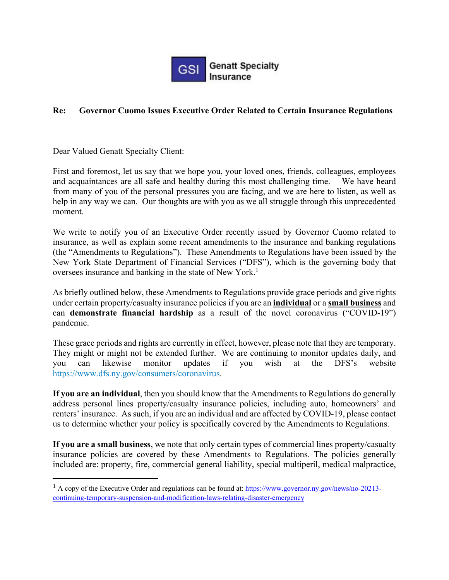

# **Re: Governor Cuomo Issues Executive Order Related to Certain Insurance Regulations**

Dear Valued Genatt Specialty Client:

First and foremost, let us say that we hope you, your loved ones, friends, colleagues, employees and acquaintances are all safe and healthy during this most challenging time. We have heard from many of you of the personal pressures you are facing, and we are here to listen, as well as help in any way we can. Our thoughts are with you as we all struggle through this unprecedented moment.

We write to notify you of an Executive Order recently issued by Governor Cuomo related to insurance, as well as explain some recent amendments to the insurance and banking regulations (the "Amendments to Regulations"). These Amendments to Regulations have been issued by the New York State Department of Financial Services ("DFS"), which is the governing body that oversees insurance and banking in the state of New York.<sup>1</sup>

As briefly outlined below, these Amendments to Regulations provide grace periods and give rights under certain property/casualty insurance policies if you are an **individual** or a **small business** and can **demonstrate financial hardship** as a result of the novel coronavirus ("COVID-19") pandemic.

These grace periods and rights are currently in effect, however, please note that they are temporary. They might or might not be extended further. We are continuing to monitor updates daily, and you can likewise monitor updates if you wish at the DFS's website https://www.dfs.ny.gov/consumers/coronavirus.

**If you are an individual**, then you should know that the Amendments to Regulations do generally address personal lines property/casualty insurance policies, including auto, homeowners' and renters' insurance. As such, if you are an individual and are affected by COVID-19, please contact us to determine whether your policy is specifically covered by the Amendments to Regulations.

**If you are a small business**, we note that only certain types of commercial lines property/casualty insurance policies are covered by these Amendments to Regulations. The policies generally included are: property, fire, commercial general liability, special multiperil, medical malpractice,

<sup>&</sup>lt;sup>1</sup> A copy of the Executive Order and regulations can be found at: https://www.governor.ny.gov/news/no-20213continuing-temporary-suspension-and-modification-laws-relating-disaster-emergency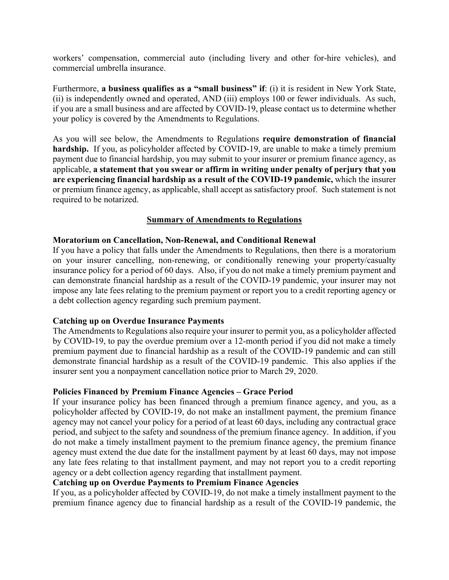workers' compensation, commercial auto (including livery and other for-hire vehicles), and commercial umbrella insurance.

Furthermore, **a business qualifies as a "small business" if**: (i) it is resident in New York State, (ii) is independently owned and operated, AND (iii) employs 100 or fewer individuals. As such, if you are a small business and are affected by COVID-19, please contact us to determine whether your policy is covered by the Amendments to Regulations.

As you will see below, the Amendments to Regulations **require demonstration of financial**  hardship. If you, as policyholder affected by COVID-19, are unable to make a timely premium payment due to financial hardship, you may submit to your insurer or premium finance agency, as applicable, **a statement that you swear or affirm in writing under penalty of perjury that you are experiencing financial hardship as a result of the COVID-19 pandemic,** which the insurer or premium finance agency, as applicable, shall accept as satisfactory proof. Such statement is not required to be notarized.

### **Summary of Amendments to Regulations**

#### **Moratorium on Cancellation, Non-Renewal, and Conditional Renewal**

If you have a policy that falls under the Amendments to Regulations, then there is a moratorium on your insurer cancelling, non-renewing, or conditionally renewing your property/casualty insurance policy for a period of 60 days. Also, if you do not make a timely premium payment and can demonstrate financial hardship as a result of the COVID-19 pandemic, your insurer may not impose any late fees relating to the premium payment or report you to a credit reporting agency or a debt collection agency regarding such premium payment.

#### **Catching up on Overdue Insurance Payments**

The Amendments to Regulations also require your insurer to permit you, as a policyholder affected by COVID-19, to pay the overdue premium over a 12-month period if you did not make a timely premium payment due to financial hardship as a result of the COVID-19 pandemic and can still demonstrate financial hardship as a result of the COVID-19 pandemic. This also applies if the insurer sent you a nonpayment cancellation notice prior to March 29, 2020.

#### **Policies Financed by Premium Finance Agencies – Grace Period**

If your insurance policy has been financed through a premium finance agency, and you, as a policyholder affected by COVID-19, do not make an installment payment, the premium finance agency may not cancel your policy for a period of at least 60 days, including any contractual grace period, and subject to the safety and soundness of the premium finance agency. In addition, if you do not make a timely installment payment to the premium finance agency, the premium finance agency must extend the due date for the installment payment by at least 60 days, may not impose any late fees relating to that installment payment, and may not report you to a credit reporting agency or a debt collection agency regarding that installment payment.

## **Catching up on Overdue Payments to Premium Finance Agencies**

If you, as a policyholder affected by COVID-19, do not make a timely installment payment to the premium finance agency due to financial hardship as a result of the COVID-19 pandemic, the